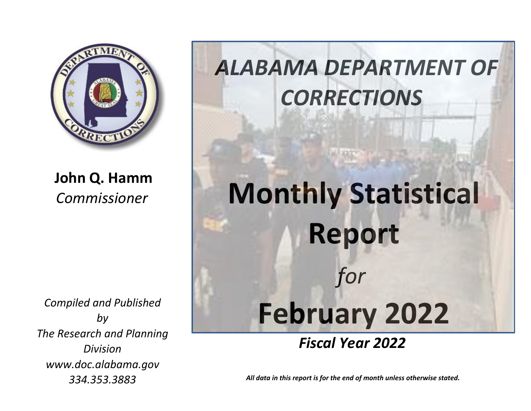

**John Q. Hamm** *Commissioner*

*Compiled and Published by The Research and Planning Division www.doc.alabama.gov 334.353.3883*

## *ALABAMA DEPARTMENT OF CORRECTIONS*

## **Monthly Statistical Report**  *for* **February 2022**

## *Fiscal Year 2022*

*All data in this report is for the end of month unless otherwise stated.*